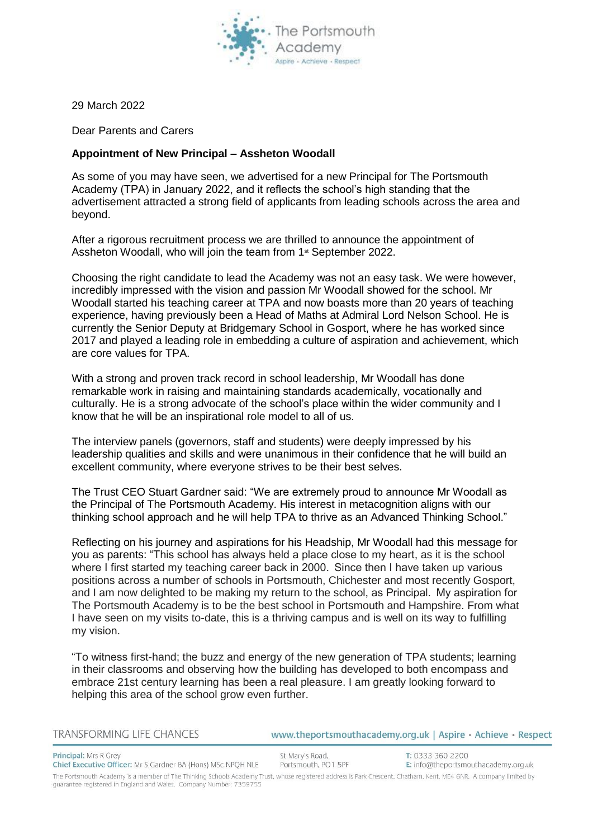

29 March 2022

Dear Parents and Carers

## **Appointment of New Principal – Assheton Woodall**

As some of you may have seen, we advertised for a new Principal for The Portsmouth Academy (TPA) in January 2022, and it reflects the school's high standing that the advertisement attracted a strong field of applicants from leading schools across the area and beyond.

After a rigorous recruitment process we are thrilled to announce the appointment of Assheton Woodall, who will join the team from 1<sup>st</sup> September 2022.

Choosing the right candidate to lead the Academy was not an easy task. We were however, incredibly impressed with the vision and passion Mr Woodall showed for the school. Mr Woodall started his teaching career at TPA and now boasts more than 20 years of teaching experience, having previously been a Head of Maths at Admiral Lord Nelson School. He is currently the Senior Deputy at Bridgemary School in Gosport, where he has worked since 2017 and played a leading role in embedding a culture of aspiration and achievement, which are core values for TPA.

With a strong and proven track record in school leadership, Mr Woodall has done remarkable work in raising and maintaining standards academically, vocationally and culturally. He is a strong advocate of the school's place within the wider community and I know that he will be an inspirational role model to all of us.

The interview panels (governors, staff and students) were deeply impressed by his leadership qualities and skills and were unanimous in their confidence that he will build an excellent community, where everyone strives to be their best selves.

The Trust CEO Stuart Gardner said: "We are extremely proud to announce Mr Woodall as the Principal of The Portsmouth Academy. His interest in metacognition aligns with our thinking school approach and he will help TPA to thrive as an Advanced Thinking School."

Reflecting on his journey and aspirations for his Headship, Mr Woodall had this message for you as parents: "This school has always held a place close to my heart, as it is the school where I first started my teaching career back in 2000.  Since then I have taken up various positions across a number of schools in Portsmouth, Chichester and most recently Gosport, and I am now delighted to be making my return to the school, as Principal.  My aspiration for The Portsmouth Academy is to be the best school in Portsmouth and Hampshire. From what I have seen on my visits to-date, this is a thriving campus and is well on its way to fulfilling my vision.  

"To witness first-hand; the buzz and energy of the new generation of TPA students; learning in their classrooms and observing how the building has developed to both encompass and embrace 21st century learning has been a real pleasure. I am greatly looking forward to helping this area of the school grow even further.

| TRANSFORMING LIFE CHANCES                                                                                                                                         | www.theportsmouthacademy.org.uk   Aspire · Achieve · Respect |                                                         |
|-------------------------------------------------------------------------------------------------------------------------------------------------------------------|--------------------------------------------------------------|---------------------------------------------------------|
| <b>Principal:</b> Mrs R Grey<br>Chief Executive Officer: Mr S Gardner BA (Hons) MSc NPOH NLE                                                                      | St Mary's Road,<br>Portsmouth, PO1 5PF                       | T: 0333 360 2200<br>E: info@theportsmouthacademy.org.uk |
| The Portsmouth Academy is a member of The Thinking Schools Academy Trust, whose registered address is Park Crescent, Chatham, Kent, ME4 6NR, A company limited by |                                                              |                                                         |

guarantee registered in England and Wales. Company Number: 7359755